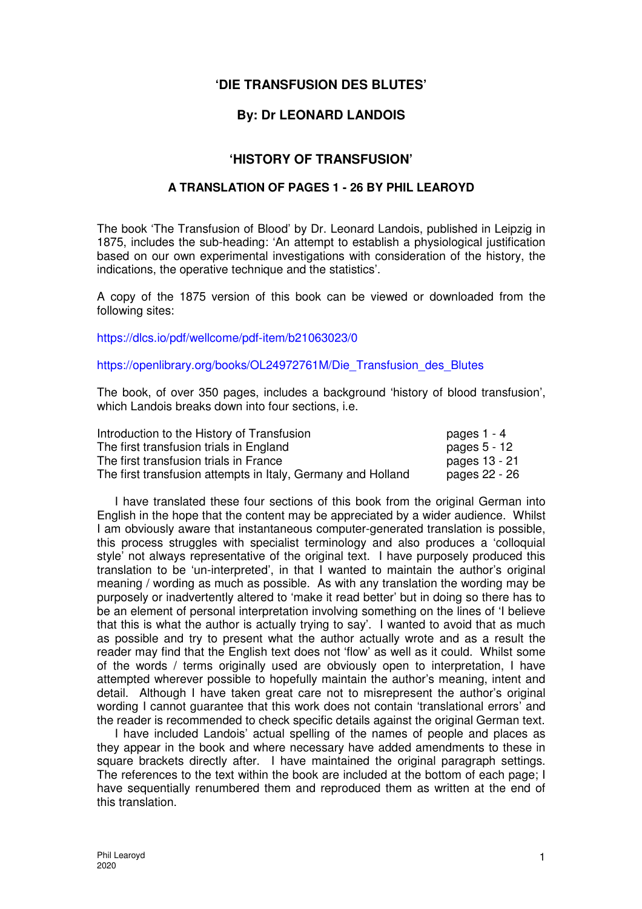# **'DIE TRANSFUSION DES BLUTES'**

# **By: Dr LEONARD LANDOIS**

# **'HISTORY OF TRANSFUSION'**

## **A TRANSLATION OF PAGES 1 - 26 BY PHIL LEAROYD**

The book 'The Transfusion of Blood' by Dr. Leonard Landois, published in Leipzig in 1875, includes the sub-heading: 'An attempt to establish a physiological justification based on our own experimental investigations with consideration of the history, the indications, the operative technique and the statistics'.

A copy of the 1875 version of this book can be viewed or downloaded from the following sites:

https://dlcs.io/pdf/wellcome/pdf-item/b21063023/0

## https://openlibrary.org/books/OL24972761M/Die\_Transfusion\_des\_Blutes

The book, of over 350 pages, includes a background 'history of blood transfusion', which Landois breaks down into four sections, *i.e.* 

| Introduction to the History of Transfusion                   | pages 1 - 4   |
|--------------------------------------------------------------|---------------|
| The first transfusion trials in England                      | pages 5 - 12  |
| The first transfusion trials in France                       | pages 13 - 21 |
| The first transfusion attempts in Italy, Germany and Holland | pages 22 - 26 |

I have translated these four sections of this book from the original German into English in the hope that the content may be appreciated by a wider audience. Whilst I am obviously aware that instantaneous computer-generated translation is possible, this process struggles with specialist terminology and also produces a 'colloquial style' not always representative of the original text. I have purposely produced this translation to be 'un-interpreted', in that I wanted to maintain the author's original meaning / wording as much as possible. As with any translation the wording may be purposely or inadvertently altered to 'make it read better' but in doing so there has to be an element of personal interpretation involving something on the lines of 'I believe that this is what the author is actually trying to say'. I wanted to avoid that as much as possible and try to present what the author actually wrote and as a result the reader may find that the English text does not 'flow' as well as it could. Whilst some of the words / terms originally used are obviously open to interpretation, I have attempted wherever possible to hopefully maintain the author's meaning, intent and detail. Although I have taken great care not to misrepresent the author's original wording I cannot guarantee that this work does not contain 'translational errors' and the reader is recommended to check specific details against the original German text.

I have included Landois' actual spelling of the names of people and places as they appear in the book and where necessary have added amendments to these in square brackets directly after. I have maintained the original paragraph settings. The references to the text within the book are included at the bottom of each page; I have sequentially renumbered them and reproduced them as written at the end of this translation.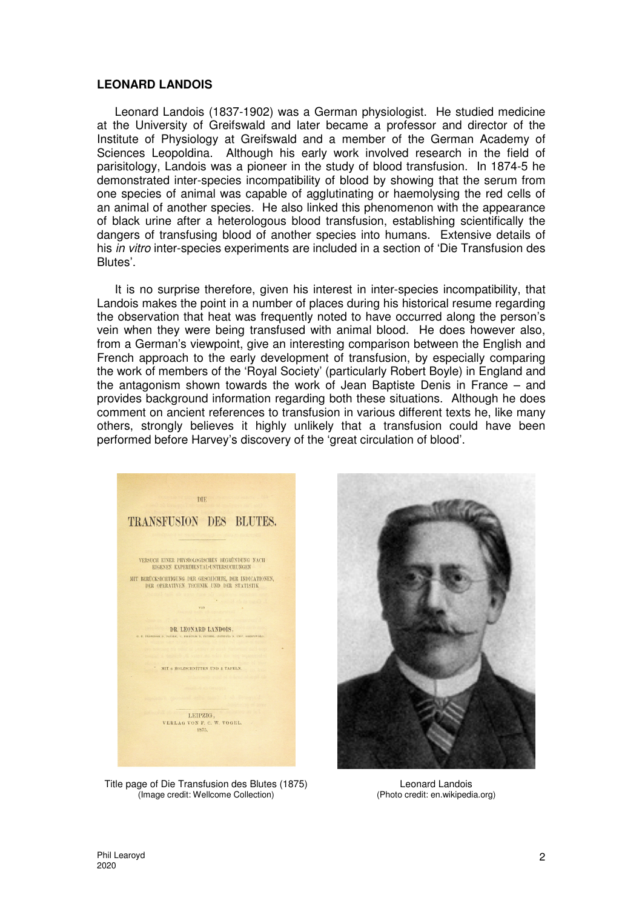#### **LEONARD LANDOIS**

Leonard Landois (1837-1902) was a German physiologist. He studied medicine at the University of Greifswald and later became a professor and director of the Institute of Physiology at Greifswald and a member of the German Academy of Sciences Leopoldina. Although his early work involved research in the field of parisitology, Landois was a pioneer in the study of blood transfusion. In 1874-5 he demonstrated inter-species incompatibility of blood by showing that the serum from one species of animal was capable of agglutinating or haemolysing the red cells of an animal of another species. He also linked this phenomenon with the appearance of black urine after a heterologous blood transfusion, establishing scientifically the dangers of transfusing blood of another species into humans. Extensive details of his in vitro inter-species experiments are included in a section of 'Die Transfusion des Blutes'.

It is no surprise therefore, given his interest in inter-species incompatibility, that Landois makes the point in a number of places during his historical resume regarding the observation that heat was frequently noted to have occurred along the person's vein when they were being transfused with animal blood. He does however also, from a German's viewpoint, give an interesting comparison between the English and French approach to the early development of transfusion, by especially comparing the work of members of the 'Royal Society' (particularly Robert Boyle) in England and the antagonism shown towards the work of Jean Baptiste Denis in France – and provides background information regarding both these situations. Although he does comment on ancient references to transfusion in various different texts he, like many others, strongly believes it highly unlikely that a transfusion could have been performed before Harvey's discovery of the 'great circulation of blood'.



Title page of Die Transfusion des Blutes (1875) (Image credit: Wellcome Collection)



Leonard Landois (Photo credit: en.wikipedia.org)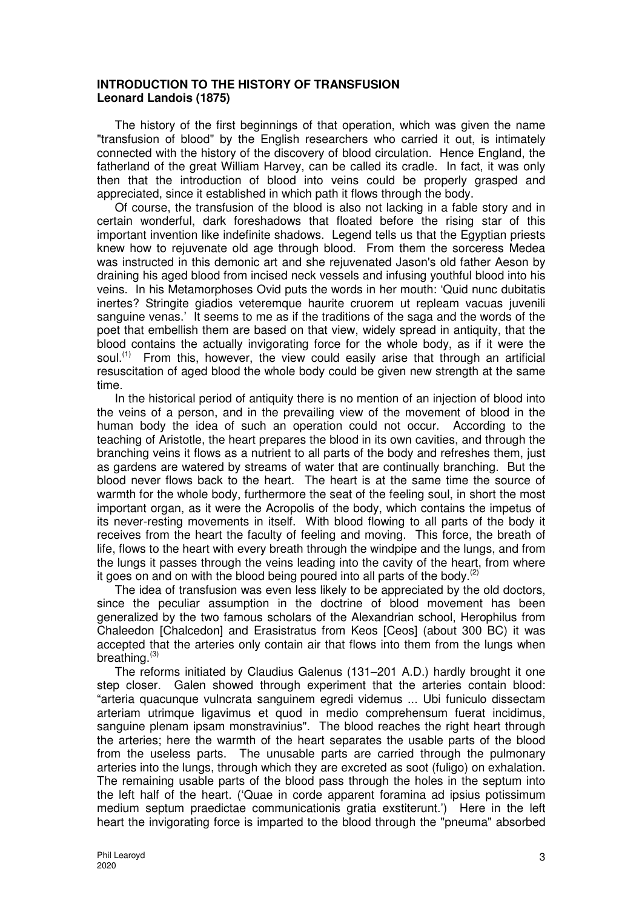### **INTRODUCTION TO THE HISTORY OF TRANSFUSION Leonard Landois (1875)**

The history of the first beginnings of that operation, which was given the name "transfusion of blood" by the English researchers who carried it out, is intimately connected with the history of the discovery of blood circulation. Hence England, the fatherland of the great William Harvey, can be called its cradle. In fact, it was only then that the introduction of blood into veins could be properly grasped and appreciated, since it established in which path it flows through the body.

Of course, the transfusion of the blood is also not lacking in a fable story and in certain wonderful, dark foreshadows that floated before the rising star of this important invention like indefinite shadows. Legend tells us that the Egyptian priests knew how to rejuvenate old age through blood. From them the sorceress Medea was instructed in this demonic art and she rejuvenated Jason's old father Aeson by draining his aged blood from incised neck vessels and infusing youthful blood into his veins. In his Metamorphoses Ovid puts the words in her mouth: 'Quid nunc dubitatis inertes? Stringite giadios veteremque haurite cruorem ut repleam vacuas juvenili sanguine venas.' It seems to me as if the traditions of the saga and the words of the poet that embellish them are based on that view, widely spread in antiquity, that the blood contains the actually invigorating force for the whole body, as if it were the soul.<sup> $(1)$ </sup> From this, however, the view could easily arise that through an artificial resuscitation of aged blood the whole body could be given new strength at the same time.

In the historical period of antiquity there is no mention of an injection of blood into the veins of a person, and in the prevailing view of the movement of blood in the human body the idea of such an operation could not occur. According to the teaching of Aristotle, the heart prepares the blood in its own cavities, and through the branching veins it flows as a nutrient to all parts of the body and refreshes them, just as gardens are watered by streams of water that are continually branching. But the blood never flows back to the heart. The heart is at the same time the source of warmth for the whole body, furthermore the seat of the feeling soul, in short the most important organ, as it were the Acropolis of the body, which contains the impetus of its never-resting movements in itself. With blood flowing to all parts of the body it receives from the heart the faculty of feeling and moving. This force, the breath of life, flows to the heart with every breath through the windpipe and the lungs, and from the lungs it passes through the veins leading into the cavity of the heart, from where it goes on and on with the blood being poured into all parts of the body. $(2)$ 

The idea of transfusion was even less likely to be appreciated by the old doctors, since the peculiar assumption in the doctrine of blood movement has been generalized by the two famous scholars of the Alexandrian school, Herophilus from Chaleedon [Chalcedon] and Erasistratus from Keos [Ceos] (about 300 BC) it was accepted that the arteries only contain air that flows into them from the lungs when breathing. $(3)$ 

The reforms initiated by Claudius Galenus (131–201 A.D.) hardly brought it one step closer. Galen showed through experiment that the arteries contain blood: "arteria quacunque vulncrata sanguinem egredi videmus ... Ubi funiculo dissectam arteriam utrimque ligavimus et quod in medio comprehensum fuerat incidimus, sanguine plenam ipsam monstravinius". The blood reaches the right heart through the arteries; here the warmth of the heart separates the usable parts of the blood from the useless parts. The unusable parts are carried through the pulmonary arteries into the lungs, through which they are excreted as soot (fuligo) on exhalation. The remaining usable parts of the blood pass through the holes in the septum into the left half of the heart. ('Quae in corde apparent foramina ad ipsius potissimum medium septum praedictae communicationis gratia exstiterunt.') Here in the left heart the invigorating force is imparted to the blood through the "pneuma" absorbed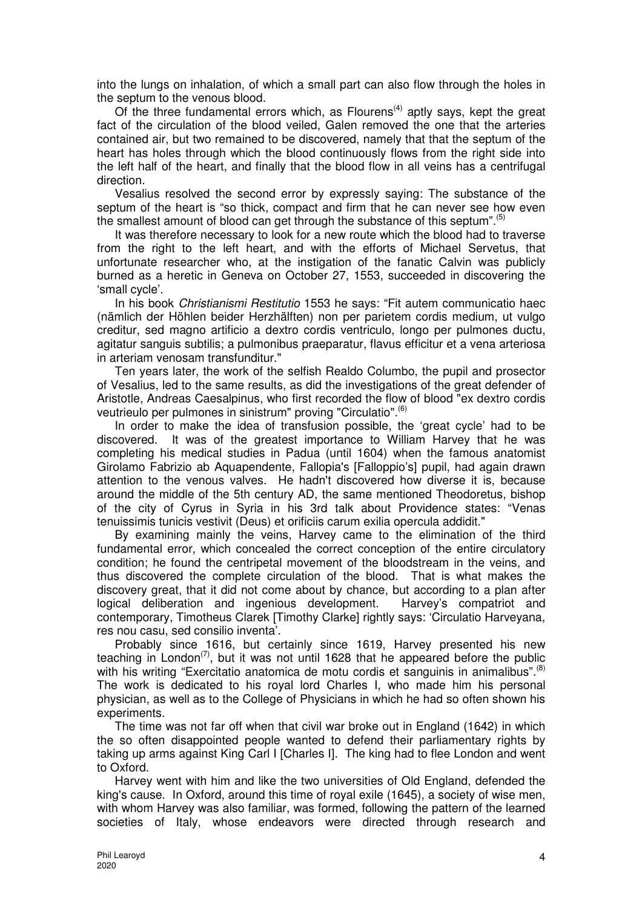into the lungs on inhalation, of which a small part can also flow through the holes in the septum to the venous blood.

Of the three fundamental errors which, as  $F$ lourens<sup>(4)</sup> aptly says, kept the great fact of the circulation of the blood veiled, Galen removed the one that the arteries contained air, but two remained to be discovered, namely that that the septum of the heart has holes through which the blood continuously flows from the right side into the left half of the heart, and finally that the blood flow in all veins has a centrifugal direction.

Vesalius resolved the second error by expressly saying: The substance of the septum of the heart is "so thick, compact and firm that he can never see how even the smallest amount of blood can get through the substance of this septum".<sup>(5)</sup>

It was therefore necessary to look for a new route which the blood had to traverse from the right to the left heart, and with the efforts of Michael Servetus, that unfortunate researcher who, at the instigation of the fanatic Calvin was publicly burned as a heretic in Geneva on October 27, 1553, succeeded in discovering the 'small cycle'.

In his book Christianismi Restitutio 1553 he says: "Fit autem communicatio haec (nämlich der Höhlen beider Herzhälften) non per parietem cordis medium, ut vulgo creditur, sed magno artificio a dextro cordis ventriculo, longo per pulmones ductu, agitatur sanguis subtilis; a pulmonibus praeparatur, flavus efficitur et a vena arteriosa in arteriam venosam transfunditur."

Ten years later, the work of the selfish Realdo Columbo, the pupil and prosector of Vesalius, led to the same results, as did the investigations of the great defender of Aristotle, Andreas Caesalpinus, who first recorded the flow of blood "ex dextro cordis veutrieulo per pulmones in sinistrum" proving "Circulatio".<sup>(6)</sup>

In order to make the idea of transfusion possible, the 'great cycle' had to be discovered. It was of the greatest importance to William Harvey that he was completing his medical studies in Padua (until 1604) when the famous anatomist Girolamo Fabrizio ab Aquapendente, Fallopia's [Falloppio's] pupil, had again drawn attention to the venous valves. He hadn't discovered how diverse it is, because around the middle of the 5th century AD, the same mentioned Theodoretus, bishop of the city of Cyrus in Syria in his 3rd talk about Providence states: "Venas tenuissimis tunicis vestivit (Deus) et orificiis carum exilia opercula addidit."

By examining mainly the veins, Harvey came to the elimination of the third fundamental error, which concealed the correct conception of the entire circulatory condition; he found the centripetal movement of the bloodstream in the veins, and thus discovered the complete circulation of the blood. That is what makes the discovery great, that it did not come about by chance, but according to a plan after logical deliberation and ingenious development. Harvey's compatriot and contemporary, Timotheus Clarek [Timothy Clarke] rightly says: 'Circulatio Harveyana, res nou casu, sed consilio inventa'.

Probably since 1616, but certainly since 1619, Harvey presented his new teaching in London<sup> $(7)$ </sup>, but it was not until 1628 that he appeared before the public with his writing "Exercitatio anatomica de motu cordis et sanguinis in animalibus".<sup>(8)</sup> The work is dedicated to his royal lord Charles I, who made him his personal physician, as well as to the College of Physicians in which he had so often shown his experiments.

The time was not far off when that civil war broke out in England (1642) in which the so often disappointed people wanted to defend their parliamentary rights by taking up arms against King Carl I [Charles I]. The king had to flee London and went to Oxford.

Harvey went with him and like the two universities of Old England, defended the king's cause. In Oxford, around this time of royal exile (1645), a society of wise men, with whom Harvey was also familiar, was formed, following the pattern of the learned societies of Italy, whose endeavors were directed through research and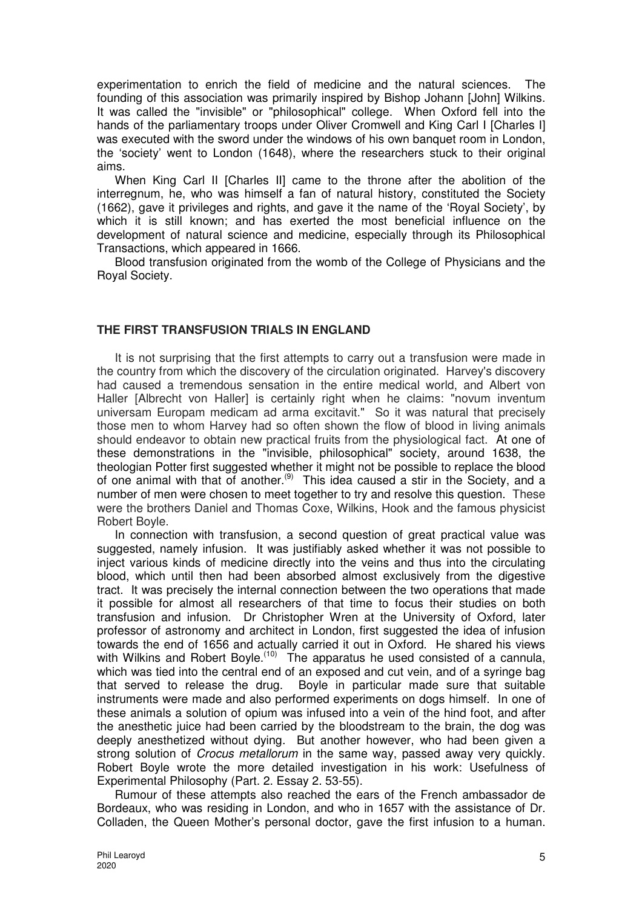experimentation to enrich the field of medicine and the natural sciences. The founding of this association was primarily inspired by Bishop Johann [John] Wilkins. It was called the "invisible" or "philosophical" college. When Oxford fell into the hands of the parliamentary troops under Oliver Cromwell and King Carl I [Charles I] was executed with the sword under the windows of his own banquet room in London, the 'society' went to London (1648), where the researchers stuck to their original aims.

When King Carl II [Charles II] came to the throne after the abolition of the interregnum, he, who was himself a fan of natural history, constituted the Society (1662), gave it privileges and rights, and gave it the name of the 'Royal Society', by which it is still known; and has exerted the most beneficial influence on the development of natural science and medicine, especially through its Philosophical Transactions, which appeared in 1666.

Blood transfusion originated from the womb of the College of Physicians and the Royal Society.

## **THE FIRST TRANSFUSION TRIALS IN ENGLAND**

It is not surprising that the first attempts to carry out a transfusion were made in the country from which the discovery of the circulation originated. Harvey's discovery had caused a tremendous sensation in the entire medical world, and Albert von Haller [Albrecht von Haller] is certainly right when he claims: "novum inventum universam Europam medicam ad arma excitavit." So it was natural that precisely those men to whom Harvey had so often shown the flow of blood in living animals should endeavor to obtain new practical fruits from the physiological fact. At one of these demonstrations in the "invisible, philosophical" society, around 1638, the theologian Potter first suggested whether it might not be possible to replace the blood of one animal with that of another.<sup>(9)</sup> This idea caused a stir in the Society, and a number of men were chosen to meet together to try and resolve this question. These were the brothers Daniel and Thomas Coxe, Wilkins, Hook and the famous physicist Robert Boyle.

In connection with transfusion, a second question of great practical value was suggested, namely infusion. It was justifiably asked whether it was not possible to inject various kinds of medicine directly into the veins and thus into the circulating blood, which until then had been absorbed almost exclusively from the digestive tract. It was precisely the internal connection between the two operations that made it possible for almost all researchers of that time to focus their studies on both transfusion and infusion. Dr Christopher Wren at the University of Oxford, later professor of astronomy and architect in London, first suggested the idea of infusion towards the end of 1656 and actually carried it out in Oxford. He shared his views with Wilkins and Robert Boyle.<sup>(10)</sup> The apparatus he used consisted of a cannula, which was tied into the central end of an exposed and cut vein, and of a syringe bag that served to release the drug. Boyle in particular made sure that suitable instruments were made and also performed experiments on dogs himself. In one of these animals a solution of opium was infused into a vein of the hind foot, and after the anesthetic juice had been carried by the bloodstream to the brain, the dog was deeply anesthetized without dying. But another however, who had been given a strong solution of *Crocus metallorum* in the same way, passed away very quickly. Robert Boyle wrote the more detailed investigation in his work: Usefulness of Experimental Philosophy (Part. 2. Essay 2. 53-55).

Rumour of these attempts also reached the ears of the French ambassador de Bordeaux, who was residing in London, and who in 1657 with the assistance of Dr. Colladen, the Queen Mother's personal doctor, gave the first infusion to a human.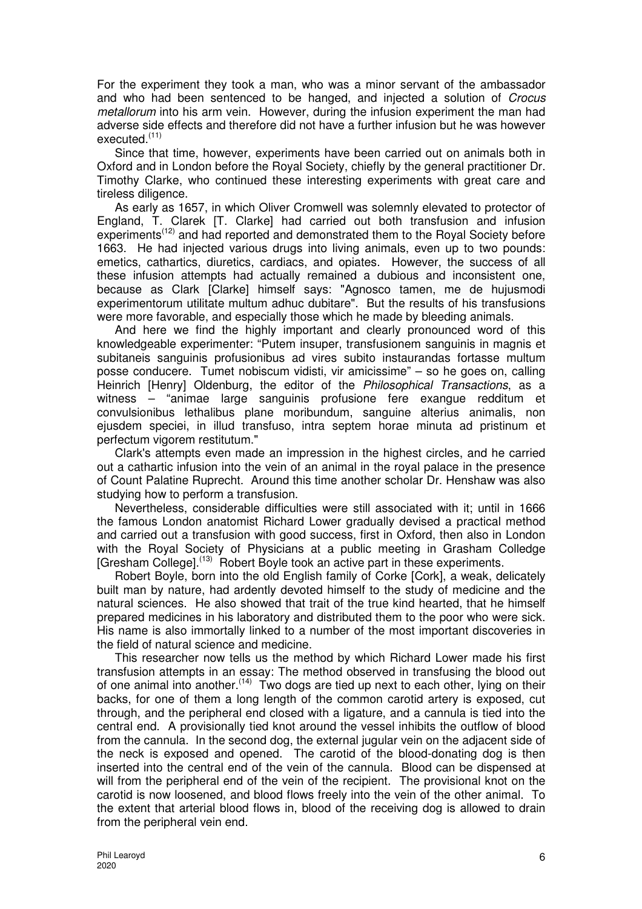For the experiment they took a man, who was a minor servant of the ambassador and who had been sentenced to be hanged, and injected a solution of Crocus metallorum into his arm vein. However, during the infusion experiment the man had adverse side effects and therefore did not have a further infusion but he was however executed.(11)

Since that time, however, experiments have been carried out on animals both in Oxford and in London before the Royal Society, chiefly by the general practitioner Dr. Timothy Clarke, who continued these interesting experiments with great care and tireless diligence.

As early as 1657, in which Oliver Cromwell was solemnly elevated to protector of England, T. Clarek [T. Clarke] had carried out both transfusion and infusion experiments<sup>(12)</sup> and had reported and demonstrated them to the Royal Society before 1663. He had injected various drugs into living animals, even up to two pounds: emetics, cathartics, diuretics, cardiacs, and opiates. However, the success of all these infusion attempts had actually remained a dubious and inconsistent one, because as Clark [Clarke] himself says: "Agnosco tamen, me de hujusmodi experimentorum utilitate multum adhuc dubitare". But the results of his transfusions were more favorable, and especially those which he made by bleeding animals.

And here we find the highly important and clearly pronounced word of this knowledgeable experimenter: "Putem insuper, transfusionem sanguinis in magnis et subitaneis sanguinis profusionibus ad vires subito instaurandas fortasse multum posse conducere. Tumet nobiscum vidisti, vir amicissime" – so he goes on, calling Heinrich [Henry] Oldenburg, the editor of the Philosophical Transactions, as a witness – "animae large sanguinis profusione fere exangue redditum et convulsionibus lethalibus plane moribundum, sanguine alterius animalis, non ejusdem speciei, in illud transfuso, intra septem horae minuta ad pristinum et perfectum vigorem restitutum."

Clark's attempts even made an impression in the highest circles, and he carried out a cathartic infusion into the vein of an animal in the royal palace in the presence of Count Palatine Ruprecht. Around this time another scholar Dr. Henshaw was also studying how to perform a transfusion.

Nevertheless, considerable difficulties were still associated with it; until in 1666 the famous London anatomist Richard Lower gradually devised a practical method and carried out a transfusion with good success, first in Oxford, then also in London with the Royal Society of Physicians at a public meeting in Grasham Colledge [Gresham College].<sup>(13)</sup> Robert Boyle took an active part in these experiments.

Robert Boyle, born into the old English family of Corke [Cork], a weak, delicately built man by nature, had ardently devoted himself to the study of medicine and the natural sciences. He also showed that trait of the true kind hearted, that he himself prepared medicines in his laboratory and distributed them to the poor who were sick. His name is also immortally linked to a number of the most important discoveries in the field of natural science and medicine.

This researcher now tells us the method by which Richard Lower made his first transfusion attempts in an essay: The method observed in transfusing the blood out of one animal into another.(14) Two dogs are tied up next to each other, lying on their backs, for one of them a long length of the common carotid artery is exposed, cut through, and the peripheral end closed with a ligature, and a cannula is tied into the central end. A provisionally tied knot around the vessel inhibits the outflow of blood from the cannula. In the second dog, the external jugular vein on the adjacent side of the neck is exposed and opened. The carotid of the blood-donating dog is then inserted into the central end of the vein of the cannula. Blood can be dispensed at will from the peripheral end of the vein of the recipient. The provisional knot on the carotid is now loosened, and blood flows freely into the vein of the other animal. To the extent that arterial blood flows in, blood of the receiving dog is allowed to drain from the peripheral vein end.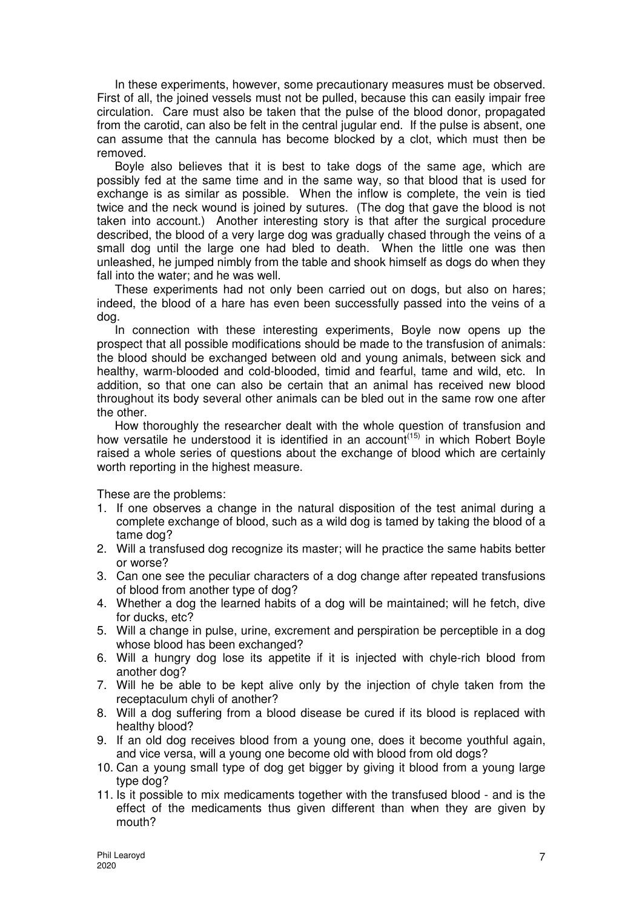In these experiments, however, some precautionary measures must be observed. First of all, the joined vessels must not be pulled, because this can easily impair free circulation. Care must also be taken that the pulse of the blood donor, propagated from the carotid, can also be felt in the central jugular end. If the pulse is absent, one can assume that the cannula has become blocked by a clot, which must then be removed.

Boyle also believes that it is best to take dogs of the same age, which are possibly fed at the same time and in the same way, so that blood that is used for exchange is as similar as possible. When the inflow is complete, the vein is tied twice and the neck wound is joined by sutures. (The dog that gave the blood is not taken into account.) Another interesting story is that after the surgical procedure described, the blood of a very large dog was gradually chased through the veins of a small dog until the large one had bled to death. When the little one was then unleashed, he jumped nimbly from the table and shook himself as dogs do when they fall into the water; and he was well.

These experiments had not only been carried out on dogs, but also on hares; indeed, the blood of a hare has even been successfully passed into the veins of a dog.

In connection with these interesting experiments, Boyle now opens up the prospect that all possible modifications should be made to the transfusion of animals: the blood should be exchanged between old and young animals, between sick and healthy, warm-blooded and cold-blooded, timid and fearful, tame and wild, etc. In addition, so that one can also be certain that an animal has received new blood throughout its body several other animals can be bled out in the same row one after the other.

How thoroughly the researcher dealt with the whole question of transfusion and how versatile he understood it is identified in an account<sup> $(15)$ </sup> in which Robert Boyle raised a whole series of questions about the exchange of blood which are certainly worth reporting in the highest measure.

These are the problems:

- 1. If one observes a change in the natural disposition of the test animal during a complete exchange of blood, such as a wild dog is tamed by taking the blood of a tame dog?
- 2. Will a transfused dog recognize its master; will he practice the same habits better or worse?
- 3. Can one see the peculiar characters of a dog change after repeated transfusions of blood from another type of dog?
- 4. Whether a dog the learned habits of a dog will be maintained; will he fetch, dive for ducks, etc?
- 5. Will a change in pulse, urine, excrement and perspiration be perceptible in a dog whose blood has been exchanged?
- 6. Will a hungry dog lose its appetite if it is injected with chyle-rich blood from another dog?
- 7. Will he be able to be kept alive only by the injection of chyle taken from the receptaculum chyli of another?
- 8. Will a dog suffering from a blood disease be cured if its blood is replaced with healthy blood?
- 9. If an old dog receives blood from a young one, does it become youthful again, and vice versa, will a young one become old with blood from old dogs?
- 10. Can a young small type of dog get bigger by giving it blood from a young large type dog?
- 11. Is it possible to mix medicaments together with the transfused blood and is the effect of the medicaments thus given different than when they are given by mouth?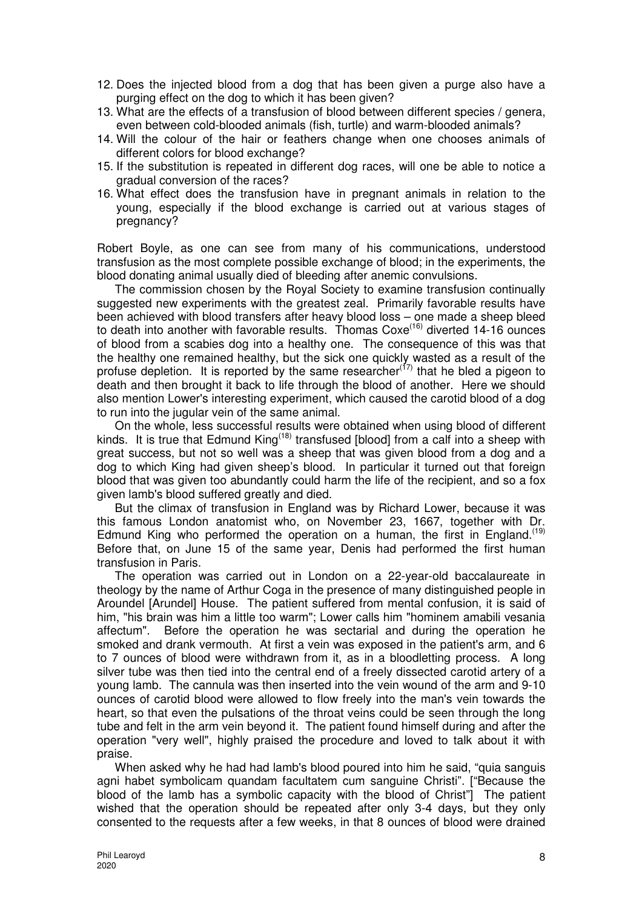- 12. Does the injected blood from a dog that has been given a purge also have a purging effect on the dog to which it has been given?
- 13. What are the effects of a transfusion of blood between different species / genera, even between cold-blooded animals (fish, turtle) and warm-blooded animals?
- 14. Will the colour of the hair or feathers change when one chooses animals of different colors for blood exchange?
- 15. If the substitution is repeated in different dog races, will one be able to notice a gradual conversion of the races?
- 16. What effect does the transfusion have in pregnant animals in relation to the young, especially if the blood exchange is carried out at various stages of pregnancy?

Robert Boyle, as one can see from many of his communications, understood transfusion as the most complete possible exchange of blood; in the experiments, the blood donating animal usually died of bleeding after anemic convulsions.

The commission chosen by the Royal Society to examine transfusion continually suggested new experiments with the greatest zeal. Primarily favorable results have been achieved with blood transfers after heavy blood loss – one made a sheep bleed to death into another with favorable results. Thomas Coxe<sup>(16)</sup> diverted 14-16 ounces of blood from a scabies dog into a healthy one. The consequence of this was that the healthy one remained healthy, but the sick one quickly wasted as a result of the profuse depletion. It is reported by the same researcher $(17)$  that he bled a pigeon to death and then brought it back to life through the blood of another. Here we should also mention Lower's interesting experiment, which caused the carotid blood of a dog to run into the jugular vein of the same animal.

On the whole, less successful results were obtained when using blood of different kinds. It is true that Edmund King<sup> $(18)$ </sup> transfused [blood] from a calf into a sheep with great success, but not so well was a sheep that was given blood from a dog and a dog to which King had given sheep's blood. In particular it turned out that foreign blood that was given too abundantly could harm the life of the recipient, and so a fox given lamb's blood suffered greatly and died.

But the climax of transfusion in England was by Richard Lower, because it was this famous London anatomist who, on November 23, 1667, together with Dr. Edmund King who performed the operation on a human, the first in England.<sup>(19)</sup> Before that, on June 15 of the same year, Denis had performed the first human transfusion in Paris.

The operation was carried out in London on a 22-year-old baccalaureate in theology by the name of Arthur Coga in the presence of many distinguished people in Aroundel [Arundel] House. The patient suffered from mental confusion, it is said of him, "his brain was him a little too warm"; Lower calls him "hominem amabili vesania affectum". Before the operation he was sectarial and during the operation he smoked and drank vermouth. At first a vein was exposed in the patient's arm, and 6 to 7 ounces of blood were withdrawn from it, as in a bloodletting process. A long silver tube was then tied into the central end of a freely dissected carotid artery of a young lamb. The cannula was then inserted into the vein wound of the arm and 9-10 ounces of carotid blood were allowed to flow freely into the man's vein towards the heart, so that even the pulsations of the throat veins could be seen through the long tube and felt in the arm vein beyond it. The patient found himself during and after the operation "very well", highly praised the procedure and loved to talk about it with praise.

When asked why he had had lamb's blood poured into him he said, "quia sanguis agni habet symbolicam quandam facultatem cum sanguine Christi". ["Because the blood of the lamb has a symbolic capacity with the blood of Christ"] The patient wished that the operation should be repeated after only 3-4 days, but they only consented to the requests after a few weeks, in that 8 ounces of blood were drained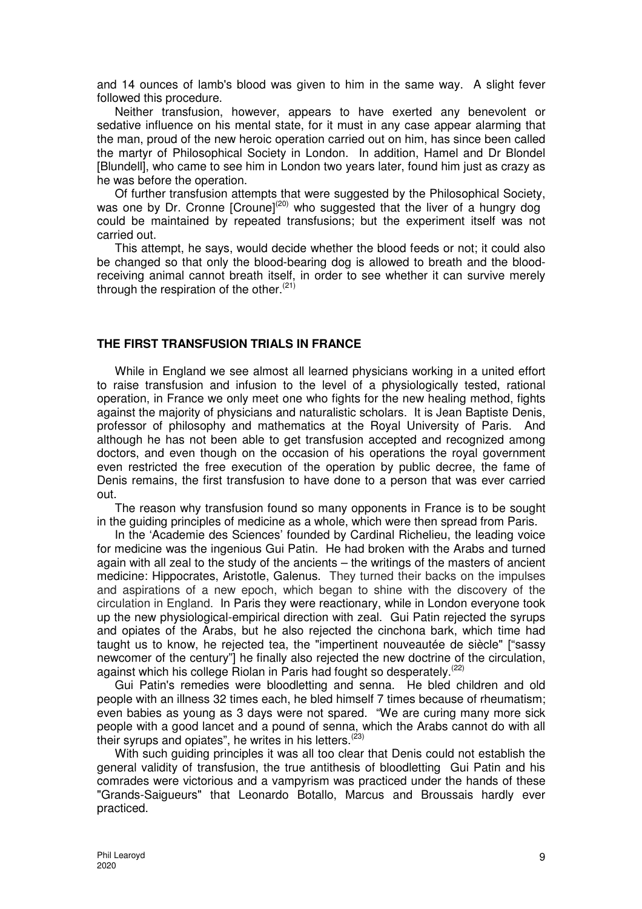and 14 ounces of lamb's blood was given to him in the same way. A slight fever followed this procedure.

Neither transfusion, however, appears to have exerted any benevolent or sedative influence on his mental state, for it must in any case appear alarming that the man, proud of the new heroic operation carried out on him, has since been called the martyr of Philosophical Society in London. In addition, Hamel and Dr Blondel [Blundell], who came to see him in London two years later, found him just as crazy as he was before the operation.

Of further transfusion attempts that were suggested by the Philosophical Society, was one by Dr. Cronne [Croune]<sup>(20)</sup> who suggested that the liver of a hungry dog could be maintained by repeated transfusions; but the experiment itself was not carried out.

This attempt, he says, would decide whether the blood feeds or not; it could also be changed so that only the blood-bearing dog is allowed to breath and the bloodreceiving animal cannot breath itself, in order to see whether it can survive merely through the respiration of the other. $(21)$ 

#### **THE FIRST TRANSFUSION TRIALS IN FRANCE**

While in England we see almost all learned physicians working in a united effort to raise transfusion and infusion to the level of a physiologically tested, rational operation, in France we only meet one who fights for the new healing method, fights against the majority of physicians and naturalistic scholars. It is Jean Baptiste Denis, professor of philosophy and mathematics at the Royal University of Paris. And although he has not been able to get transfusion accepted and recognized among doctors, and even though on the occasion of his operations the royal government even restricted the free execution of the operation by public decree, the fame of Denis remains, the first transfusion to have done to a person that was ever carried out.

The reason why transfusion found so many opponents in France is to be sought in the guiding principles of medicine as a whole, which were then spread from Paris.

In the 'Academie des Sciences' founded by Cardinal Richelieu, the leading voice for medicine was the ingenious Gui Patin. He had broken with the Arabs and turned again with all zeal to the study of the ancients – the writings of the masters of ancient medicine: Hippocrates, Aristotle, Galenus. They turned their backs on the impulses and aspirations of a new epoch, which began to shine with the discovery of the circulation in England. In Paris they were reactionary, while in London everyone took up the new physiological-empirical direction with zeal. Gui Patin rejected the syrups and opiates of the Arabs, but he also rejected the cinchona bark, which time had taught us to know, he rejected tea, the "impertinent nouveautée de siècle" ["sassy newcomer of the century"] he finally also rejected the new doctrine of the circulation, against which his college Riolan in Paris had fought so desperately.<sup>(22)</sup>

Gui Patin's remedies were bloodletting and senna. He bled children and old people with an illness 32 times each, he bled himself 7 times because of rheumatism; even babies as young as 3 days were not spared. "We are curing many more sick people with a good lancet and a pound of senna, which the Arabs cannot do with all their syrups and opiates", he writes in his letters.<sup>(23)</sup>

With such quiding principles it was all too clear that Denis could not establish the general validity of transfusion, the true antithesis of bloodletting Gui Patin and his comrades were victorious and a vampyrism was practiced under the hands of these "Grands-Saigueurs" that Leonardo Botallo, Marcus and Broussais hardly ever practiced.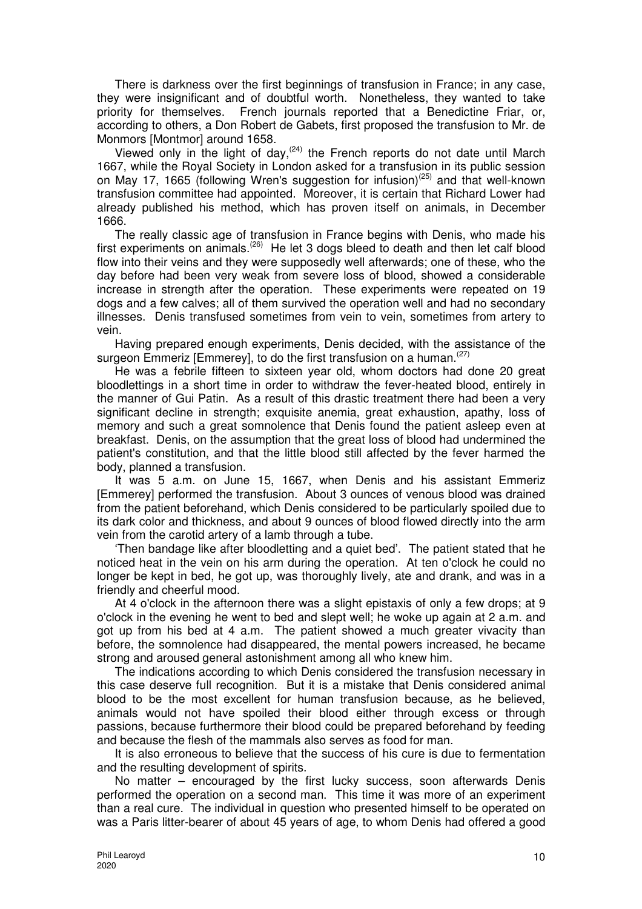There is darkness over the first beginnings of transfusion in France; in any case, they were insignificant and of doubtful worth. Nonetheless, they wanted to take priority for themselves. French journals reported that a Benedictine Friar, or, according to others, a Don Robert de Gabets, first proposed the transfusion to Mr. de Monmors [Montmor] around 1658.

Viewed only in the light of day,  $(24)$  the French reports do not date until March 1667, while the Royal Society in London asked for a transfusion in its public session on May 17, 1665 (following Wren's suggestion for infusion)<sup>(25)</sup> and that well-known transfusion committee had appointed. Moreover, it is certain that Richard Lower had already published his method, which has proven itself on animals, in December 1666.

The really classic age of transfusion in France begins with Denis, who made his first experiments on animals.(26) He let 3 dogs bleed to death and then let calf blood flow into their veins and they were supposedly well afterwards; one of these, who the day before had been very weak from severe loss of blood, showed a considerable increase in strength after the operation. These experiments were repeated on 19 dogs and a few calves; all of them survived the operation well and had no secondary illnesses. Denis transfused sometimes from vein to vein, sometimes from artery to vein.

Having prepared enough experiments, Denis decided, with the assistance of the surgeon Emmeriz [Emmerey], to do the first transfusion on a human.<sup>(27)</sup>

He was a febrile fifteen to sixteen year old, whom doctors had done 20 great bloodlettings in a short time in order to withdraw the fever-heated blood, entirely in the manner of Gui Patin. As a result of this drastic treatment there had been a very significant decline in strength; exquisite anemia, great exhaustion, apathy, loss of memory and such a great somnolence that Denis found the patient asleep even at breakfast. Denis, on the assumption that the great loss of blood had undermined the patient's constitution, and that the little blood still affected by the fever harmed the body, planned a transfusion.

It was 5 a.m. on June 15, 1667, when Denis and his assistant Emmeriz [Emmerey] performed the transfusion. About 3 ounces of venous blood was drained from the patient beforehand, which Denis considered to be particularly spoiled due to its dark color and thickness, and about 9 ounces of blood flowed directly into the arm vein from the carotid artery of a lamb through a tube.

'Then bandage like after bloodletting and a quiet bed'. The patient stated that he noticed heat in the vein on his arm during the operation. At ten o'clock he could no longer be kept in bed, he got up, was thoroughly lively, ate and drank, and was in a friendly and cheerful mood.

At 4 o'clock in the afternoon there was a slight epistaxis of only a few drops; at 9 o'clock in the evening he went to bed and slept well; he woke up again at 2 a.m. and got up from his bed at 4 a.m. The patient showed a much greater vivacity than before, the somnolence had disappeared, the mental powers increased, he became strong and aroused general astonishment among all who knew him.

The indications according to which Denis considered the transfusion necessary in this case deserve full recognition. But it is a mistake that Denis considered animal blood to be the most excellent for human transfusion because, as he believed, animals would not have spoiled their blood either through excess or through passions, because furthermore their blood could be prepared beforehand by feeding and because the flesh of the mammals also serves as food for man.

It is also erroneous to believe that the success of his cure is due to fermentation and the resulting development of spirits.

No matter – encouraged by the first lucky success, soon afterwards Denis performed the operation on a second man. This time it was more of an experiment than a real cure. The individual in question who presented himself to be operated on was a Paris litter-bearer of about 45 years of age, to whom Denis had offered a good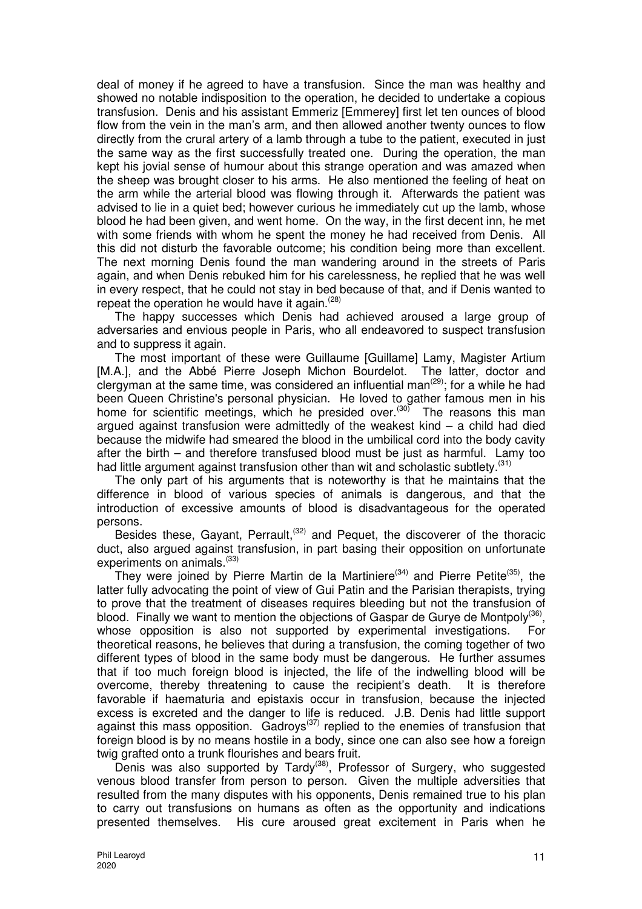deal of money if he agreed to have a transfusion. Since the man was healthy and showed no notable indisposition to the operation, he decided to undertake a copious transfusion. Denis and his assistant Emmeriz [Emmerey] first let ten ounces of blood flow from the vein in the man's arm, and then allowed another twenty ounces to flow directly from the crural artery of a lamb through a tube to the patient, executed in just the same way as the first successfully treated one. During the operation, the man kept his jovial sense of humour about this strange operation and was amazed when the sheep was brought closer to his arms. He also mentioned the feeling of heat on the arm while the arterial blood was flowing through it. Afterwards the patient was advised to lie in a quiet bed; however curious he immediately cut up the lamb, whose blood he had been given, and went home. On the way, in the first decent inn, he met with some friends with whom he spent the money he had received from Denis. All this did not disturb the favorable outcome; his condition being more than excellent. The next morning Denis found the man wandering around in the streets of Paris again, and when Denis rebuked him for his carelessness, he replied that he was well in every respect, that he could not stay in bed because of that, and if Denis wanted to repeat the operation he would have it again. $(28)$ 

The happy successes which Denis had achieved aroused a large group of adversaries and envious people in Paris, who all endeavored to suspect transfusion and to suppress it again.

The most important of these were Guillaume [Guillame] Lamy, Magister Artium [M.A.], and the Abbé Pierre Joseph Michon Bourdelot. The latter, doctor and clergyman at the same time, was considered an influential man<sup>(29)</sup>; for a while he had been Queen Christine's personal physician. He loved to gather famous men in his home for scientific meetings, which he presided over.<sup>(30)</sup> The reasons this man argued against transfusion were admittedly of the weakest kind – a child had died because the midwife had smeared the blood in the umbilical cord into the body cavity after the birth – and therefore transfused blood must be just as harmful. Lamy too had little argument against transfusion other than wit and scholastic subtlety.<sup>(31)</sup>

The only part of his arguments that is noteworthy is that he maintains that the difference in blood of various species of animals is dangerous, and that the introduction of excessive amounts of blood is disadvantageous for the operated persons.

Besides these, Gayant, Perrault,<sup> $(32)$ </sup> and Pequet, the discoverer of the thoracic duct, also argued against transfusion, in part basing their opposition on unfortunate experiments on animals.<sup>(33)</sup>

They were joined by Pierre Martin de la Martiniere<sup>(34)</sup> and Pierre Petite<sup>(35)</sup>, the latter fully advocating the point of view of Gui Patin and the Parisian therapists, trying to prove that the treatment of diseases requires bleeding but not the transfusion of blood. Finally we want to mention the objections of Gaspar de Gurye de Montpoly<sup>(36)</sup>, whose opposition is also not supported by experimental investigations. For theoretical reasons, he believes that during a transfusion, the coming together of two different types of blood in the same body must be dangerous. He further assumes that if too much foreign blood is injected, the life of the indwelling blood will be overcome, thereby threatening to cause the recipient's death. It is therefore favorable if haematuria and epistaxis occur in transfusion, because the injected excess is excreted and the danger to life is reduced. J.B. Denis had little support against this mass opposition. Gadroys<sup>(37)</sup> replied to the enemies of transfusion that foreign blood is by no means hostile in a body, since one can also see how a foreign twig grafted onto a trunk flourishes and bears fruit.

Denis was also supported by Tardy<sup>(38)</sup>, Professor of Surgery, who suggested venous blood transfer from person to person. Given the multiple adversities that resulted from the many disputes with his opponents, Denis remained true to his plan to carry out transfusions on humans as often as the opportunity and indications presented themselves. His cure aroused great excitement in Paris when he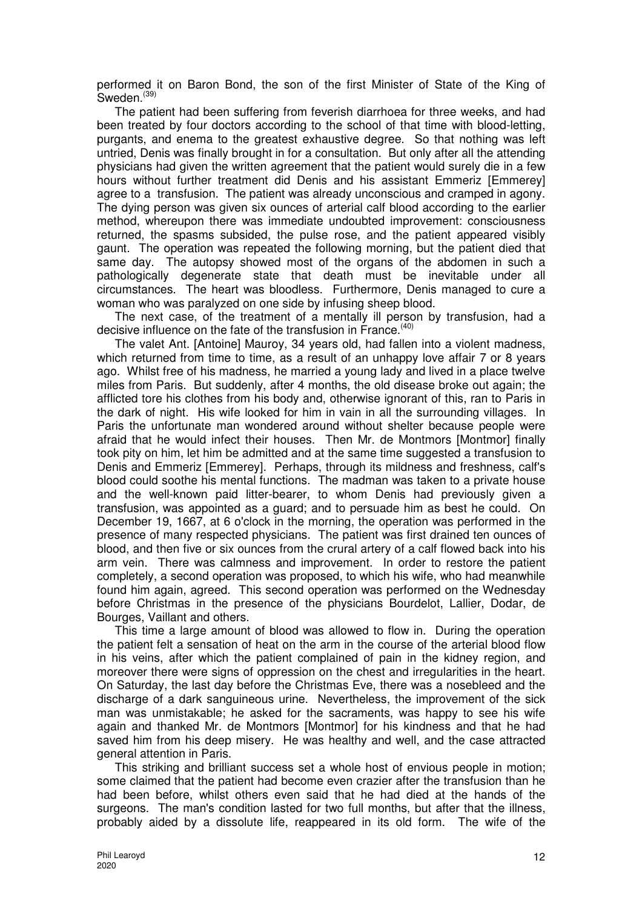performed it on Baron Bond, the son of the first Minister of State of the King of Sweden.<sup>(39)</sup>

The patient had been suffering from feverish diarrhoea for three weeks, and had been treated by four doctors according to the school of that time with blood-letting, purgants, and enema to the greatest exhaustive degree. So that nothing was left untried, Denis was finally brought in for a consultation. But only after all the attending physicians had given the written agreement that the patient would surely die in a few hours without further treatment did Denis and his assistant Emmeriz [Emmerey] agree to a transfusion. The patient was already unconscious and cramped in agony. The dying person was given six ounces of arterial calf blood according to the earlier method, whereupon there was immediate undoubted improvement: consciousness returned, the spasms subsided, the pulse rose, and the patient appeared visibly gaunt. The operation was repeated the following morning, but the patient died that same day. The autopsy showed most of the organs of the abdomen in such a pathologically degenerate state that death must be inevitable under all circumstances. The heart was bloodless. Furthermore, Denis managed to cure a woman who was paralyzed on one side by infusing sheep blood.

The next case, of the treatment of a mentally ill person by transfusion, had a decisive influence on the fate of the transfusion in France.<sup>(40)</sup>

The valet Ant. [Antoine] Mauroy, 34 years old, had fallen into a violent madness, which returned from time to time, as a result of an unhappy love affair 7 or 8 years ago. Whilst free of his madness, he married a young lady and lived in a place twelve miles from Paris. But suddenly, after 4 months, the old disease broke out again; the afflicted tore his clothes from his body and, otherwise ignorant of this, ran to Paris in the dark of night. His wife looked for him in vain in all the surrounding villages. In Paris the unfortunate man wondered around without shelter because people were afraid that he would infect their houses. Then Mr. de Montmors [Montmor] finally took pity on him, let him be admitted and at the same time suggested a transfusion to Denis and Emmeriz [Emmerey]. Perhaps, through its mildness and freshness, calf's blood could soothe his mental functions. The madman was taken to a private house and the well-known paid litter-bearer, to whom Denis had previously given a transfusion, was appointed as a guard; and to persuade him as best he could. On December 19, 1667, at 6 o'clock in the morning, the operation was performed in the presence of many respected physicians. The patient was first drained ten ounces of blood, and then five or six ounces from the crural artery of a calf flowed back into his arm vein. There was calmness and improvement. In order to restore the patient completely, a second operation was proposed, to which his wife, who had meanwhile found him again, agreed. This second operation was performed on the Wednesday before Christmas in the presence of the physicians Bourdelot, Lallier, Dodar, de Bourges, Vaillant and others.

This time a large amount of blood was allowed to flow in. During the operation the patient felt a sensation of heat on the arm in the course of the arterial blood flow in his veins, after which the patient complained of pain in the kidney region, and moreover there were signs of oppression on the chest and irregularities in the heart. On Saturday, the last day before the Christmas Eve, there was a nosebleed and the discharge of a dark sanguineous urine. Nevertheless, the improvement of the sick man was unmistakable; he asked for the sacraments, was happy to see his wife again and thanked Mr. de Montmors [Montmor] for his kindness and that he had saved him from his deep misery. He was healthy and well, and the case attracted general attention in Paris.

This striking and brilliant success set a whole host of envious people in motion; some claimed that the patient had become even crazier after the transfusion than he had been before, whilst others even said that he had died at the hands of the surgeons. The man's condition lasted for two full months, but after that the illness, probably aided by a dissolute life, reappeared in its old form. The wife of the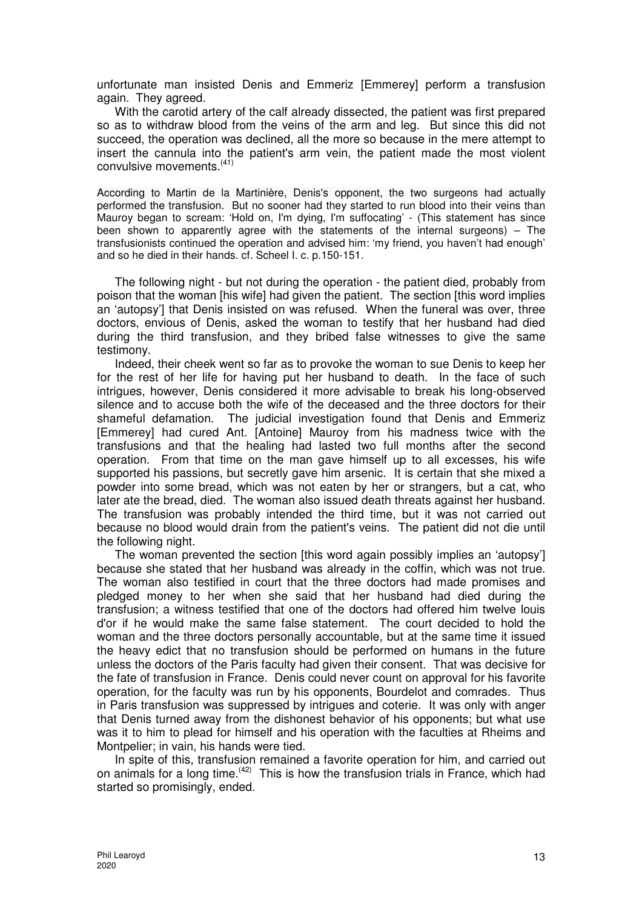unfortunate man insisted Denis and Emmeriz [Emmerey] perform a transfusion again. They agreed.

With the carotid artery of the calf already dissected, the patient was first prepared so as to withdraw blood from the veins of the arm and leg. But since this did not succeed, the operation was declined, all the more so because in the mere attempt to insert the cannula into the patient's arm vein, the patient made the most violent convulsive movements.<sup>(41)</sup>

According to Martin de la Martinière, Denis's opponent, the two surgeons had actually performed the transfusion. But no sooner had they started to run blood into their veins than Mauroy began to scream: 'Hold on, I'm dying, I'm suffocating' - (This statement has since been shown to apparently agree with the statements of the internal surgeons) – The transfusionists continued the operation and advised him: 'my friend, you haven't had enough' and so he died in their hands. cf. Scheel I. c. p.150-151.

The following night - but not during the operation - the patient died, probably from poison that the woman [his wife] had given the patient. The section [this word implies an 'autopsy'] that Denis insisted on was refused. When the funeral was over, three doctors, envious of Denis, asked the woman to testify that her husband had died during the third transfusion, and they bribed false witnesses to give the same testimony.

Indeed, their cheek went so far as to provoke the woman to sue Denis to keep her for the rest of her life for having put her husband to death. In the face of such intrigues, however, Denis considered it more advisable to break his long-observed silence and to accuse both the wife of the deceased and the three doctors for their shameful defamation. The judicial investigation found that Denis and Emmeriz [Emmerey] had cured Ant. [Antoine] Mauroy from his madness twice with the transfusions and that the healing had lasted two full months after the second operation. From that time on the man gave himself up to all excesses, his wife supported his passions, but secretly gave him arsenic. It is certain that she mixed a powder into some bread, which was not eaten by her or strangers, but a cat, who later ate the bread, died. The woman also issued death threats against her husband. The transfusion was probably intended the third time, but it was not carried out because no blood would drain from the patient's veins. The patient did not die until the following night.

The woman prevented the section [this word again possibly implies an 'autopsy'] because she stated that her husband was already in the coffin, which was not true. The woman also testified in court that the three doctors had made promises and pledged money to her when she said that her husband had died during the transfusion; a witness testified that one of the doctors had offered him twelve louis d'or if he would make the same false statement. The court decided to hold the woman and the three doctors personally accountable, but at the same time it issued the heavy edict that no transfusion should be performed on humans in the future unless the doctors of the Paris faculty had given their consent. That was decisive for the fate of transfusion in France. Denis could never count on approval for his favorite operation, for the faculty was run by his opponents, Bourdelot and comrades. Thus in Paris transfusion was suppressed by intrigues and coterie. It was only with anger that Denis turned away from the dishonest behavior of his opponents; but what use was it to him to plead for himself and his operation with the faculties at Rheims and Montpelier; in vain, his hands were tied.

In spite of this, transfusion remained a favorite operation for him, and carried out on animals for a long time.(42) This is how the transfusion trials in France, which had started so promisingly, ended.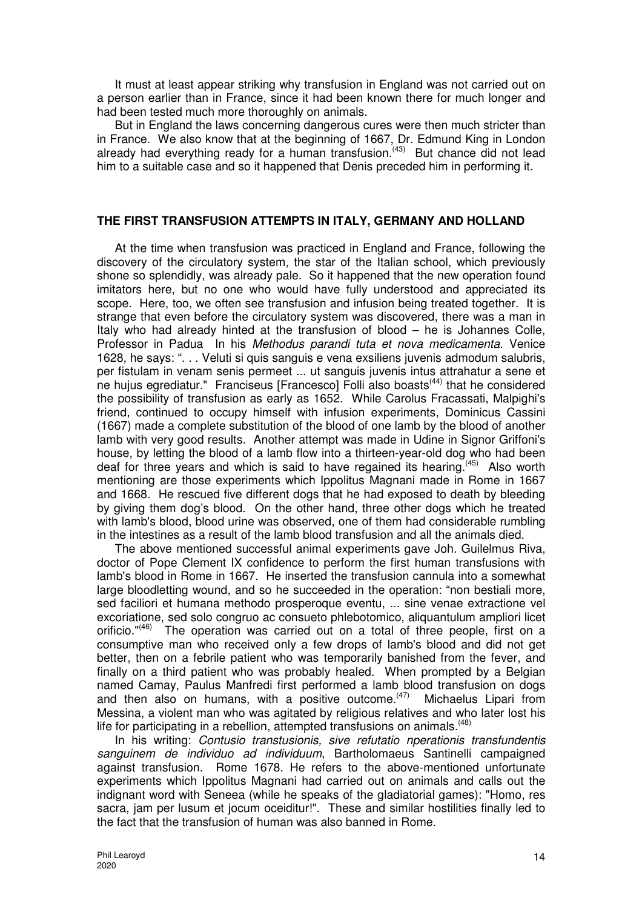It must at least appear striking why transfusion in England was not carried out on a person earlier than in France, since it had been known there for much longer and had been tested much more thoroughly on animals.

But in England the laws concerning dangerous cures were then much stricter than in France. We also know that at the beginning of 1667, Dr. Edmund King in London already had everything ready for a human transfusion.<sup>(43)</sup> But chance did not lead him to a suitable case and so it happened that Denis preceded him in performing it.

### **THE FIRST TRANSFUSION ATTEMPTS IN ITALY, GERMANY AND HOLLAND**

At the time when transfusion was practiced in England and France, following the discovery of the circulatory system, the star of the Italian school, which previously shone so splendidly, was already pale. So it happened that the new operation found imitators here, but no one who would have fully understood and appreciated its scope. Here, too, we often see transfusion and infusion being treated together. It is strange that even before the circulatory system was discovered, there was a man in Italy who had already hinted at the transfusion of blood – he is Johannes Colle, Professor in Padua In his Methodus parandi tuta et nova medicamenta. Venice 1628, he says: ". . . Veluti si quis sanguis e vena exsiliens juvenis admodum salubris, per fistulam in venam senis permeet ... ut sanguis juvenis intus attrahatur a sene et ne hujus egrediatur." Franciseus [Francesco] Folli also boasts<sup>(44)</sup> that he considered the possibility of transfusion as early as 1652. While Carolus Fracassati, Malpighi's friend, continued to occupy himself with infusion experiments, Dominicus Cassini (1667) made a complete substitution of the blood of one lamb by the blood of another lamb with very good results. Another attempt was made in Udine in Signor Griffoni's house, by letting the blood of a lamb flow into a thirteen-year-old dog who had been deaf for three years and which is said to have regained its hearing.<sup>(45)</sup> Also worth mentioning are those experiments which Ippolitus Magnani made in Rome in 1667 and 1668. He rescued five different dogs that he had exposed to death by bleeding by giving them dog's blood. On the other hand, three other dogs which he treated with lamb's blood, blood urine was observed, one of them had considerable rumbling in the intestines as a result of the lamb blood transfusion and all the animals died.

The above mentioned successful animal experiments gave Joh. Guilelmus Riva, doctor of Pope Clement IX confidence to perform the first human transfusions with lamb's blood in Rome in 1667. He inserted the transfusion cannula into a somewhat large bloodletting wound, and so he succeeded in the operation: "non bestiali more, sed faciliori et humana methodo prosperoque eventu, ... sine venae extractione vel excoriatione, sed solo congruo ac consueto phlebotomico, aliquantulum ampliori licet orificio."<sup>(46)</sup> The operation was carried out on a total of three people, first on a consumptive man who received only a few drops of lamb's blood and did not get better, then on a febrile patient who was temporarily banished from the fever, and finally on a third patient who was probably healed. When prompted by a Belgian named Camay, Paulus Manfredi first performed a lamb blood transfusion on dogs and then also on humans, with a positive outcome. $(47)$  Michaelus Lipari from Messina, a violent man who was agitated by religious relatives and who later lost his life for participating in a rebellion, attempted transfusions on animals.<sup>(48)</sup>

In his writing: Contusio transtusionis, sive refutatio nperationis transfundentis sanguinem de individuo ad individuum, Bartholomaeus Santinelli campaigned against transfusion. Rome 1678. He refers to the above-mentioned unfortunate experiments which Ippolitus Magnani had carried out on animals and calls out the indignant word with Seneea (while he speaks of the gladiatorial games): "Homo, res sacra, jam per lusum et jocum oceiditur!". These and similar hostilities finally led to the fact that the transfusion of human was also banned in Rome.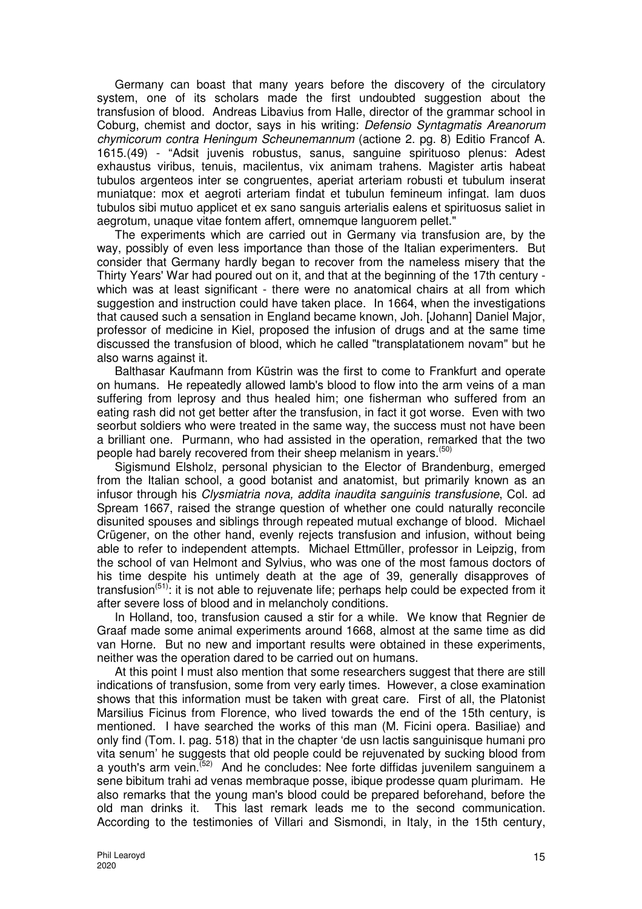Germany can boast that many years before the discovery of the circulatory system, one of its scholars made the first undoubted suggestion about the transfusion of blood. Andreas Libavius from Halle, director of the grammar school in Coburg, chemist and doctor, says in his writing: Defensio Syntagmatis Areanorum chymicorum contra Heningum Scheunemannum (actione 2. pg. 8) Editio Francof A. 1615.(49) - "Adsit juvenis robustus, sanus, sanguine spirituoso plenus: Adest exhaustus viribus, tenuis, macilentus, vix animam trahens. Magister artis habeat tubulos argenteos inter se congruentes, aperiat arteriam robusti et tubulum inserat muniatque: mox et aegroti arteriam findat et tubulun femineum infingat. lam duos tubulos sibi mutuo applicet et ex sano sanguis arterialis ealens et spirituosus saliet in aegrotum, unaque vitae fontem affert, omnemque languorem pellet."

The experiments which are carried out in Germany via transfusion are, by the way, possibly of even less importance than those of the Italian experimenters. But consider that Germany hardly began to recover from the nameless misery that the Thirty Years' War had poured out on it, and that at the beginning of the 17th century which was at least significant - there were no anatomical chairs at all from which suggestion and instruction could have taken place. In 1664, when the investigations that caused such a sensation in England became known, Joh. [Johann] Daniel Major, professor of medicine in Kiel, proposed the infusion of drugs and at the same time discussed the transfusion of blood, which he called "transplatationem novam" but he also warns against it.

Balthasar Kaufmann from Küstrin was the first to come to Frankfurt and operate on humans. He repeatedly allowed lamb's blood to flow into the arm veins of a man suffering from leprosy and thus healed him; one fisherman who suffered from an eating rash did not get better after the transfusion, in fact it got worse. Even with two seorbut soldiers who were treated in the same way, the success must not have been a brilliant one. Purmann, who had assisted in the operation, remarked that the two people had barely recovered from their sheep melanism in years.<sup>(50)</sup>

Sigismund Elsholz, personal physician to the Elector of Brandenburg, emerged from the Italian school, a good botanist and anatomist, but primarily known as an infusor through his Clysmiatria nova, addita inaudita sanguinis transfusione, Col. ad Spream 1667, raised the strange question of whether one could naturally reconcile disunited spouses and siblings through repeated mutual exchange of blood. Michael Crügener, on the other hand, evenly rejects transfusion and infusion, without being able to refer to independent attempts. Michael Ettmüller, professor in Leipzig, from the school of van Helmont and Sylvius, who was one of the most famous doctors of his time despite his untimely death at the age of 39, generally disapproves of transfusion<sup> $(51)$ </sup>: it is not able to rejuvenate life; perhaps help could be expected from it after severe loss of blood and in melancholy conditions.

In Holland, too, transfusion caused a stir for a while. We know that Regnier de Graaf made some animal experiments around 1668, almost at the same time as did van Horne. But no new and important results were obtained in these experiments, neither was the operation dared to be carried out on humans.

At this point I must also mention that some researchers suggest that there are still indications of transfusion, some from very early times. However, a close examination shows that this information must be taken with great care. First of all, the Platonist Marsilius Ficinus from Florence, who lived towards the end of the 15th century, is mentioned. I have searched the works of this man (M. Ficini opera. Basiliae) and only find (Tom. I. pag. 518) that in the chapter 'de usn lactis sanguinisque humani pro vita senum' he suggests that old people could be rejuvenated by sucking blood from a youth's arm vein.<sup>(52)</sup> And he concludes: Nee forte diffidas juvenilem sanguinem a sene bibitum trahi ad venas membraque posse, ibique prodesse quam plurimam. He also remarks that the young man's blood could be prepared beforehand, before the old man drinks it. This last remark leads me to the second communication. According to the testimonies of Villari and Sismondi, in Italy, in the 15th century,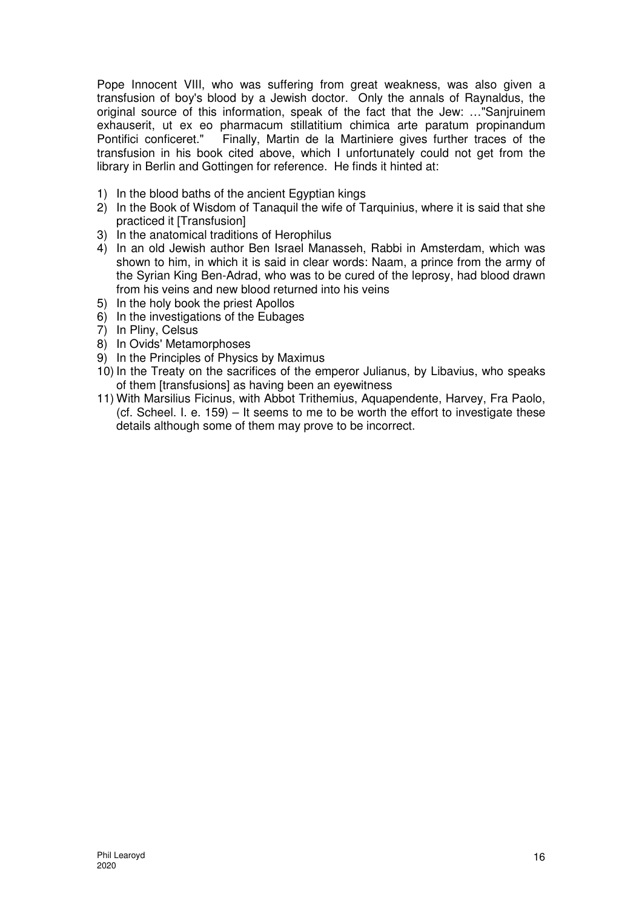Pope Innocent VIII, who was suffering from great weakness, was also given a transfusion of boy's blood by a Jewish doctor. Only the annals of Raynaldus, the original source of this information, speak of the fact that the Jew: …"Sanjruinem exhauserit, ut ex eo pharmacum stillatitium chimica arte paratum propinandum<br>Pontifici conficeret." Finally. Martin de la Martiniere gives further traces of the Finally. Martin de la Martiniere gives further traces of the transfusion in his book cited above, which I unfortunately could not get from the library in Berlin and Gottingen for reference. He finds it hinted at:

- 1) In the blood baths of the ancient Egyptian kings
- 2) In the Book of Wisdom of Tanaquil the wife of Tarquinius, where it is said that she practiced it [Transfusion]
- 3) In the anatomical traditions of Herophilus
- 4) In an old Jewish author Ben Israel Manasseh, Rabbi in Amsterdam, which was shown to him, in which it is said in clear words: Naam, a prince from the army of the Syrian King Ben-Adrad, who was to be cured of the leprosy, had blood drawn from his veins and new blood returned into his veins
- 5) In the holy book the priest Apollos
- 6) In the investigations of the Eubages
- 7) In Pliny, Celsus
- 8) In Ovids' Metamorphoses
- 9) In the Principles of Physics by Maximus
- 10) In the Treaty on the sacrifices of the emperor Julianus, by Libavius, who speaks of them [transfusions] as having been an eyewitness
- 11) With Marsilius Ficinus, with Abbot Trithemius, Aquapendente, Harvey, Fra Paolo, (cf. Scheel. I. e. 159) – It seems to me to be worth the effort to investigate these details although some of them may prove to be incorrect.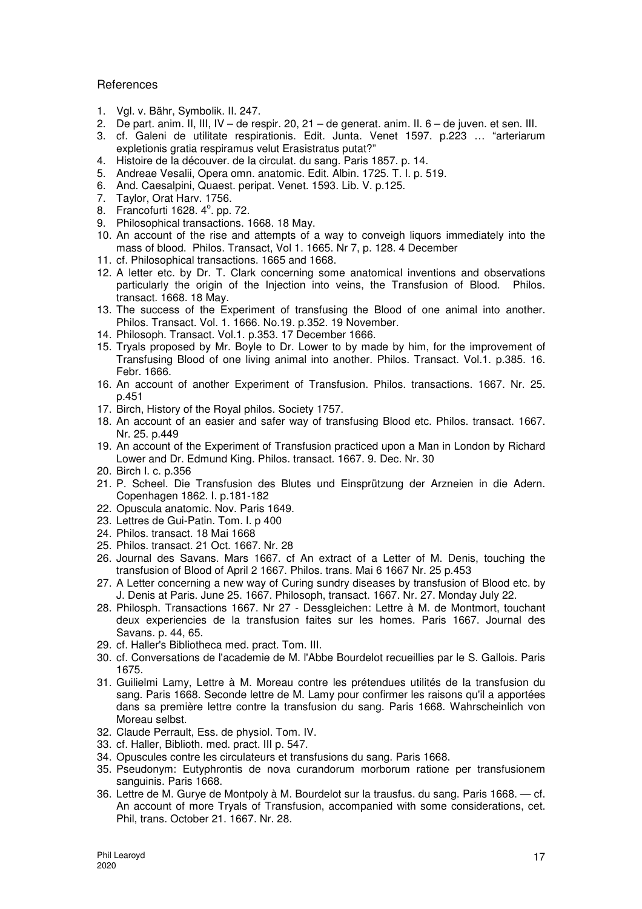#### **References**

- 1. Vgl. v. Bähr, Symbolik. II. 247.
- 2. De part. anim. II, III, IV de respir. 20, 21 de generat. anim. II. 6 de juven. et sen. III.
- 3. cf. Galeni de utilitate respirationis. Edit. Junta. Venet 1597. p.223 … "arteriarum expletionis gratia respiramus velut Erasistratus putat?"
- 4. Histoire de la découver. de la circulat. du sang. Paris 1857. p. 14.
- 5. Andreae Vesalii, Opera omn. anatomic. Edit. Albin. 1725. T. I. p. 519.
- 6. And. Caesalpini, Quaest. peripat. Venet. 1593. Lib. V. p.125.
- 7. Taylor, Orat Harv. 1756.
- 8. Francofurti 1628. 4<sup>°</sup>. pp. 72.
- 9. Philosophical transactions. 1668. 18 May.
- 10. An account of the rise and attempts of a way to conveigh liquors immediately into the mass of blood. Philos. Transact, Vol 1. 1665. Nr 7, p. 128. 4 December
- 11. cf. Philosophical transactions. 1665 and 1668.
- 12. A letter etc. by Dr. T. Clark concerning some anatomical inventions and observations particularly the origin of the Injection into veins, the Transfusion of Blood. Philos. transact. 1668. 18 May.
- 13. The success of the Experiment of transfusing the Blood of one animal into another. Philos. Transact. Vol. 1. 1666. No.19. p.352. 19 November.
- 14. Philosoph. Transact. Vol.1. p.353. 17 December 1666.
- 15. Tryals proposed by Mr. Boyle to Dr. Lower to by made by him, for the improvement of Transfusing Blood of one living animal into another. Philos. Transact. Vol.1. p.385. 16. Febr. 1666.
- 16. An account of another Experiment of Transfusion. Philos. transactions. 1667. Nr. 25. p.451
- 17. Birch, History of the Royal philos. Society 1757.
- 18. An account of an easier and safer way of transfusing Blood etc. Philos. transact. 1667. Nr. 25. p.449
- 19. An account of the Experiment of Transfusion practiced upon a Man in London by Richard Lower and Dr. Edmund King. Philos. transact. 1667. 9. Dec. Nr. 30
- 20. Birch I. c. p.356
- 21. P. Scheel. Die Transfusion des Blutes und Einsprützung der Arzneien in die Adern. Copenhagen 1862. I. p.181-182
- 22. Opuscula anatomic. Nov. Paris 1649.
- 23. Lettres de Gui-Patin. Tom. I. p 400
- 24. Philos. transact. 18 Mai 1668
- 25. Philos. transact. 21 Oct. 1667. Nr. 28
- 26. Journal des Savans. Mars 1667. cf An extract of a Letter of M. Denis, touching the transfusion of Blood of April 2 1667. Philos. trans. Mai 6 1667 Nr. 25 p.453
- 27. A Letter concerning a new way of Curing sundry diseases by transfusion of Blood etc. by J. Denis at Paris. June 25. 1667. Philosoph, transact. 1667. Nr. 27. Monday July 22.
- 28. Philosph. Transactions 1667. Nr 27 Dessgleichen: Lettre à M. de Montmort, touchant deux experiencies de la transfusion faites sur les homes. Paris 1667. Journal des Savans. p. 44, 65.
- 29. cf. Haller's Bibliotheca med. pract. Tom. III.
- 30. cf. Conversations de l'academie de M. l'Abbe Bourdelot recueillies par le S. Gallois. Paris 1675.
- 31. Guilielmi Lamy, Lettre à M. Moreau contre les prétendues utilités de la transfusion du sang. Paris 1668. Seconde lettre de M. Lamy pour confirmer les raisons qu'il a apportées dans sa première lettre contre la transfusion du sang. Paris 1668. Wahrscheinlich von Moreau selbst.
- 32. Claude Perrault, Ess. de physiol. Tom. IV.
- 33. cf. Haller, Biblioth. med. pract. III p. 547.
- 34. Opuscules contre les circulateurs et transfusions du sang. Paris 1668.
- 35. Pseudonym: Eutyphrontis de nova curandorum morborum ratione per transfusionem sanguinis. Paris 1668.
- 36. Lettre de M. Gurye de Montpoly à M. Bourdelot sur la trausfus. du sang. Paris 1668. cf. An account of more Tryals of Transfusion, accompanied with some considerations, cet. Phil, trans. October 21. 1667. Nr. 28.